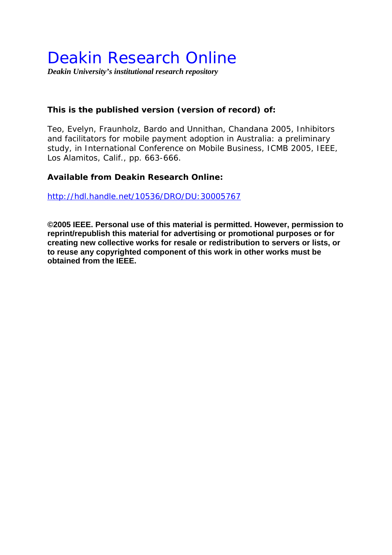# Deakin Research Online

*Deakin University's institutional research repository* 

# **This is the published version (version of record) of:**

Teo, Evelyn, Fraunholz, Bardo and Unnithan, Chandana 2005, Inhibitors and facilitators for mobile payment adoption in Australia: a preliminary study*, in International Conference on Mobile Business, ICMB 2005*, IEEE, Los Alamitos, Calif., pp. 663-666.

## **Available from Deakin Research Online:**

http://hdl.handle.net/10536/DRO/DU:30005767

**©2005 IEEE. Personal use of this material is permitted. However, permission to reprint/republish this material for advertising or promotional purposes or for creating new collective works for resale or redistribution to servers or lists, or to reuse any copyrighted component of this work in other works must be obtained from the IEEE.**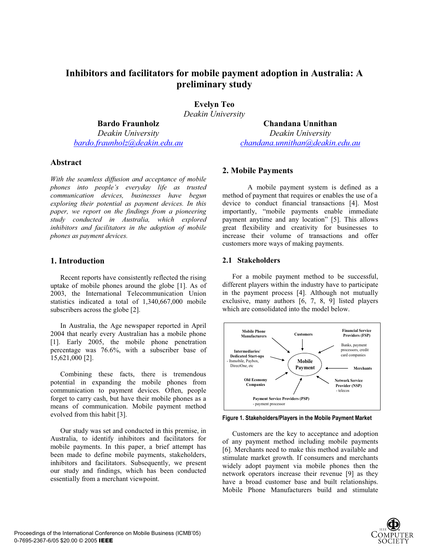# **Inhibitors and facilitators for mobile payment adoption in Australia: A preliminary study**

**Evelyn Teo**  *Deakin University* 

**Chandana Unnithan** 

*Deakin University bardo.fraunholz@deakin.edu.au*

**Bardo Fraunholz** 

*Deakin University chandana.unnithan@deakin.edu.au*

### **Abstract**

*With the seamless diffusion and acceptance of mobile phones into people's everyday life as trusted communication devices, businesses have begun exploring their potential as payment devices. In this paper, we report on the findings from a pioneering study conducted in Australia, which explored inhibitors and facilitators in the adoption of mobile phones as payment devices.* 

### **1. Introduction**

Recent reports have consistently reflected the rising uptake of mobile phones around the globe [1]. As of 2003, the International Telecommunication Union statistics indicated a total of 1,340,667,000 mobile subscribers across the globe [2].

In Australia, the Age newspaper reported in April 2004 that nearly every Australian has a mobile phone [1]. Early 2005, the mobile phone penetration percentage was 76.6%, with a subscriber base of 15,621,000 [2].

Combining these facts, there is tremendous potential in expanding the mobile phones from communication to payment devices. Often, people forget to carry cash, but have their mobile phones as a means of communication. Mobile payment method evolved from this habit [3].

Our study was set and conducted in this premise, in Australia, to identify inhibitors and facilitators for mobile payments. In this paper, a brief attempt has been made to define mobile payments, stakeholders, inhibitors and facilitators. Subsequently, we present our study and findings, which has been conducted essentially from a merchant viewpoint.

## **2. Mobile Payments**

A mobile payment system is defined as a method of payment that requires or enables the use of a device to conduct financial transactions [4]. Most importantly, "mobile payments enable immediate payment anytime and any location" [5]. This allows great flexibility and creativity for businesses to increase their volume of transactions and offer customers more ways of making payments.

### **2.1 Stakeholders**

For a mobile payment method to be successful, different players within the industry have to participate in the payment process [4]. Although not mutually exclusive, many authors [6, 7, 8, 9] listed players which are consolidated into the model below.



**Figure 1. Stakeholders/Players in the Mobile Payment Market** 

Customers are the key to acceptance and adoption of any payment method including mobile payments [6]. Merchants need to make this method available and stimulate market growth. If consumers and merchants widely adopt payment via mobile phones then the network operators increase their revenue [9] as they have a broad customer base and built relationships. Mobile Phone Manufacturers build and stimulate

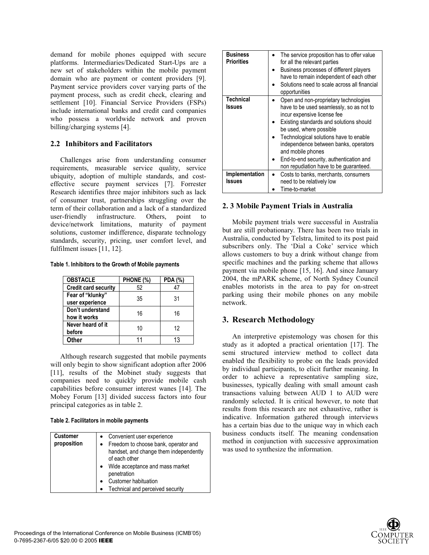demand for mobile phones equipped with secure platforms. Intermediaries/Dedicated Start-Ups are a new set of stakeholders within the mobile payment domain who are payment or content providers [9]. Payment service providers cover varying parts of the payment process, such as credit check, clearing and settlement [10]. Financial Service Providers (FSPs) include international banks and credit card companies who possess a worldwide network and proven billing/charging systems [4].

#### **2.2 Inhibitors and Facilitators**

Challenges arise from understanding consumer requirements, measurable service quality, service ubiquity, adoption of multiple standards, and costeffective secure payment services [7]. Forrester Research identifies three major inhibitors such as lack of consumer trust, partnerships struggling over the term of their collaboration and a lack of a standardized user-friendly infrastructure. Others, point to device/network limitations, maturity of payment solutions, customer indifference, disparate technology standards, security, pricing, user comfort level, and fulfilment issues [11, 12].

| <b>OBSTACLE</b>             | PHONE (%) | <b>PDA (%)</b> |
|-----------------------------|-----------|----------------|
| <b>Credit card security</b> | 52        |                |
| Fear of "klunky"            | 35        | 31             |
| user experience             |           |                |
| Don't understand            | 16        | 16             |
| how it works                |           |                |
| Never heard of it           | 10        | 12             |
| before                      |           |                |
| <b>Other</b>                |           | 13             |

Although research suggested that mobile payments will only begin to show significant adoption after 2006 [11], results of the Mobinet study suggests that companies need to quickly provide mobile cash capabilities before consumer interest wanes [14]. The Mobey Forum [13] divided success factors into four principal categories as in table 2.

|  | Table 2. Facilitators in mobile payments |  |  |
|--|------------------------------------------|--|--|
|--|------------------------------------------|--|--|

| <b>Customer</b><br>proposition | Convenient user experience<br>Freedom to choose bank, operator and<br>handset, and change them independently<br>of each other<br>Wide acceptance and mass market<br>penetration |
|--------------------------------|---------------------------------------------------------------------------------------------------------------------------------------------------------------------------------|
|                                | Customer habituation<br>Technical and perceived security                                                                                                                        |

| <b>Business</b><br><b>Priorities</b> | The service proposition has to offer value<br>for all the relevant parties<br>Business processes of different players<br>have to remain independent of each other<br>Solutions need to scale across all financial<br>opportunities                                                                                                                                                  |
|--------------------------------------|-------------------------------------------------------------------------------------------------------------------------------------------------------------------------------------------------------------------------------------------------------------------------------------------------------------------------------------------------------------------------------------|
| <b>Technical</b><br><b>Issues</b>    | Open and non-proprietary technologies<br>have to be used seamlessly, so as not to<br>incur expensive license fee<br>Existing standards and solutions should<br>be used, where possible<br>Technological solutions have to enable<br>independence between banks, operators<br>and mobile phones<br>End-to-end security, authentication and<br>non repudiation have to be guaranteed. |
| Implementation<br>Issues             | Costs to banks, merchants, consumers<br>need to be relatively low<br>Time-to-market                                                                                                                                                                                                                                                                                                 |

#### **2. 3 Mobile Payment Trials in Australia**

Mobile payment trials were successful in Australia but are still probationary. There has been two trials in Australia, conducted by Telstra, limited to its post paid subscribers only. The 'Dial a Coke' service which allows customers to buy a drink without change from specific machines and the parking scheme that allows payment via mobile phone [15, 16]. And since January 2004, the mPARK scheme, of North Sydney Council enables motorists in the area to pay for on-street parking using their mobile phones on any mobile network.

#### **3. Research Methodology**

An interpretive epistemology was chosen for this study as it adopted a practical orientation [17]. The semi structured interview method to collect data enabled the flexibility to probe on the leads provided by individual participants, to elicit further meaning. In order to achieve a representative sampling size, businesses, typically dealing with small amount cash transactions valuing between AUD 1 to AUD were randomly selected. It is critical however, to note that results from this research are not exhaustive, rather is indicative. Information gathered through interviews has a certain bias due to the unique way in which each business conducts itself. The meaning condensation method in conjunction with successive approximation was used to synthesize the information.

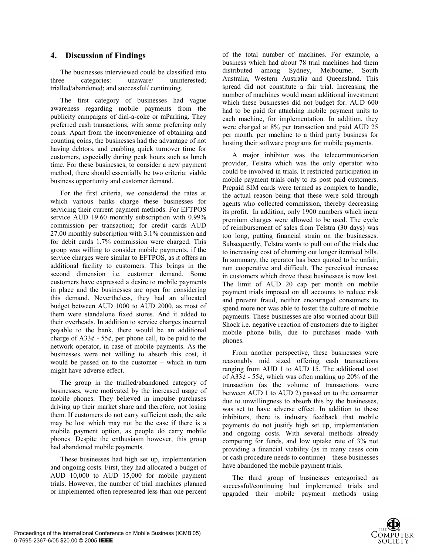#### **4. Discussion of Findings**

The businesses interviewed could be classified into three categories: unaware/ uninterested; trialled/abandoned; and successful/ continuing.

The first category of businesses had vague awareness regarding mobile payments from the publicity campaigns of dial-a-coke or mParking. They preferred cash transactions, with some preferring only coins. Apart from the inconvenience of obtaining and counting coins, the businesses had the advantage of not having debtors, and enabling quick turnover time for customers, especially during peak hours such as lunch time. For these businesses, to consider a new payment method, there should essentially be two criteria: viable business opportunity and customer demand.

For the first criteria, we considered the rates at which various banks charge these businesses for servicing their current payment methods. For EFTPOS service AUD 19.60 monthly subscription with 0.99% commission per transaction; for credit cards AUD 27.00 monthly subscription with 3.1% commission and for debit cards 1.7% commission were charged. This group was willing to consider mobile payments, if the service charges were similar to EFTPOS, as it offers an additional facility to customers. This brings in the second dimension i.e. customer demand. Some customers have expressed a desire to mobile payments in place and the businesses are open for considering this demand. Nevertheless, they had an allocated budget between AUD 1000 to AUD 2000, as most of them were standalone fixed stores. And it added to their overheads. In addition to service charges incurred payable to the bank, there would be an additional charge of A33 $\ell$  - 55 $\ell$ , per phone call, to be paid to the network operator, in case of mobile payments. As the businesses were not willing to absorb this cost, it would be passed on to the customer – which in turn might have adverse effect.

The group in the trialled/abandoned category of businesses, were motivated by the increased usage of mobile phones. They believed in impulse purchases driving up their market share and therefore, not losing them. If customers do not carry sufficient cash, the sale may be lost which may not be the case if there is a mobile payment option, as people do carry mobile phones. Despite the enthusiasm however, this group had abandoned mobile payments.

These businesses had high set up, implementation and ongoing costs. First, they had allocated a budget of AUD 10,000 to AUD 15,000 for mobile payment trials. However, the number of trial machines planned or implemented often represented less than one percent

of the total number of machines. For example, a business which had about 78 trial machines had them distributed among Sydney, Melbourne, South Australia, Western Australia and Queensland. This spread did not constitute a fair trial. Increasing the number of machines would mean additional investment which these businesses did not budget for. AUD 600 had to be paid for attaching mobile payment units to each machine, for implementation. In addition, they were charged at 8% per transaction and paid AUD 25 per month, per machine to a third party business for hosting their software programs for mobile payments.

A major inhibitor was the telecommunication provider, Telstra which was the only operator who could be involved in trials. It restricted participation in mobile payment trials only to its post paid customers. Prepaid SIM cards were termed as complex to handle, the actual reason being that these were sold through agents who collected commission, thereby decreasing its profit. In addition, only 1900 numbers which incur premium charges were allowed to be used. The cycle of reimbursement of sales from Telstra (30 days) was too long, putting financial strain on the businesses. Subsequently, Telstra wants to pull out of the trials due to increasing cost of churning out longer itemised bills. In summary, the operator has been quoted to be unfair, non cooperative and difficult. The perceived increase in customers which drove these businesses is now lost. The limit of AUD 20 cap per month on mobile payment trials imposed on all accounts to reduce risk and prevent fraud, neither encouraged consumers to spend more nor was able to foster the culture of mobile payments. These businesses are also worried about Bill Shock i.e. negative reaction of customers due to higher mobile phone bills, due to purchases made with phones.

From another perspective, these businesses were reasonably mid sized offering cash transactions ranging from AUD 1 to AUD 15. The additional cost of A33 $\mathcal{E}$  - 55 $\mathcal{E}$ , which was often making up 20% of the transaction (as the volume of transactions were between AUD 1 to AUD 2) passed on to the consumer due to unwillingness to absorb this by the businesses, was set to have adverse effect. In addition to these inhibitors, there is industry feedback that mobile payments do not justify high set up, implementation and ongoing costs. With several methods already competing for funds, and low uptake rate of 3% not providing a financial viability (as in many cases coin or cash procedure needs to continue) – these businesses have abandoned the mobile payment trials.

The third group of businesses categorised as successful/continuing had implemented trials and upgraded their mobile payment methods using